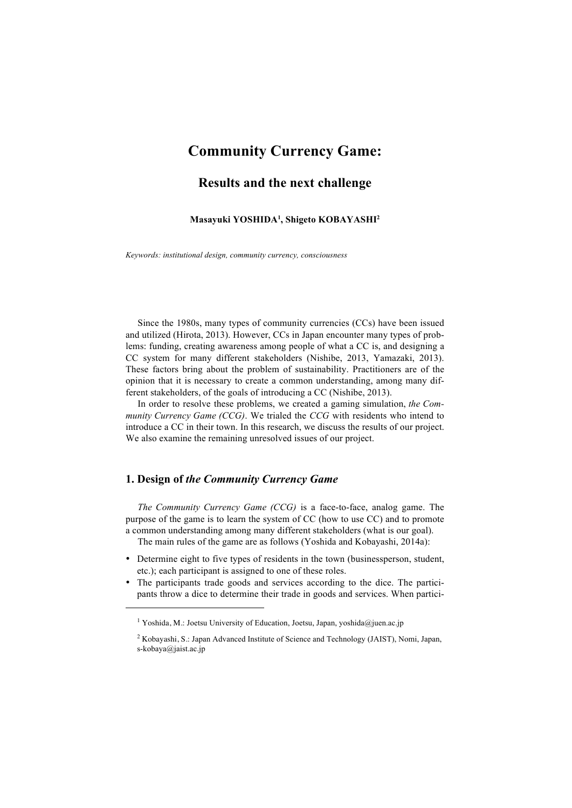# **Community Currency Game:**

# **Results and the next challenge**

#### **Masayuki YOSHIDA1 , Shigeto KOBAYASHI2**

*Keywords: institutional design, community currency, consciousness*

 Since the 1980s, many types of community currencies (CCs) have been issued and utilized (Hirota, 2013). However, CCs in Japan encounter many types of problems: funding, creating awareness among people of what a CC is, and designing a CC system for many different stakeholders (Nishibe, 2013, Yamazaki, 2013). These factors bring about the problem of sustainability. Practitioners are of the opinion that it is necessary to create a common understanding, among many different stakeholders, of the goals of introducing a CC (Nishibe, 2013).

 In order to resolve these problems, we created a gaming simulation, *the Community Currency Game (CCG)*. We trialed the *CCG* with residents who intend to introduce a CC in their town. In this research, we discuss the results of our project. We also examine the remaining unresolved issues of our project.

## **1. Design of** *the Community Currency Game*

-

 *The Community Currency Game (CCG)* is a face-to-face, analog game. The purpose of the game is to learn the system of CC (how to use CC) and to promote a common understanding among many different stakeholders (what is our goal). The main rules of the game are as follows (Yoshida and Kobayashi, 2014a):

- Determine eight to five types of residents in the town (businessperson, student,
- etc.); each participant is assigned to one of these roles.
- The participants trade goods and services according to the dice. The participants throw a dice to determine their trade in goods and services. When partici-

<sup>&</sup>lt;sup>1</sup> Yoshida, M.: Joetsu University of Education, Joetsu, Japan, yoshida@juen.ac.jp

<sup>2</sup> Kobayashi, S.: Japan Advanced Institute of Science and Technology (JAIST), Nomi, Japan, s-kobaya@jaist.ac.jp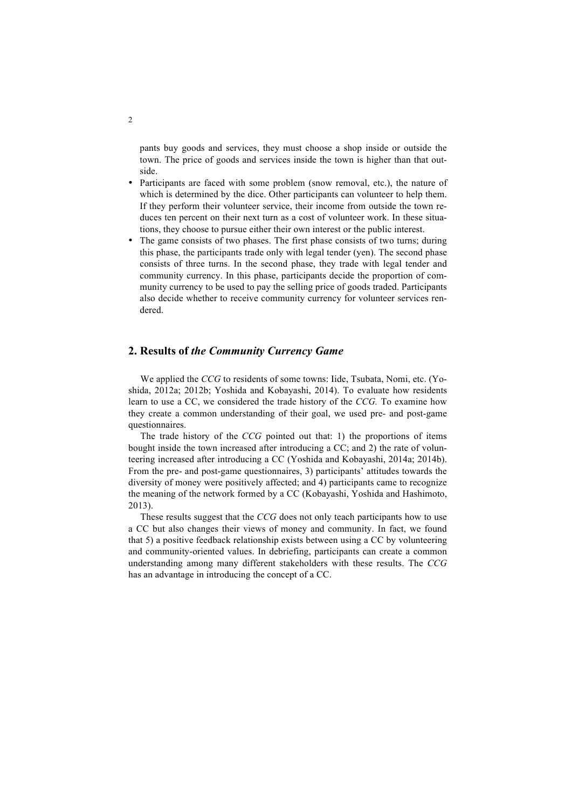pants buy goods and services, they must choose a shop inside or outside the town. The price of goods and services inside the town is higher than that outside.

- Participants are faced with some problem (snow removal, etc.), the nature of which is determined by the dice. Other participants can volunteer to help them. If they perform their volunteer service, their income from outside the town reduces ten percent on their next turn as a cost of volunteer work. In these situations, they choose to pursue either their own interest or the public interest.
- The game consists of two phases. The first phase consists of two turns; during this phase, the participants trade only with legal tender (yen). The second phase consists of three turns. In the second phase, they trade with legal tender and community currency. In this phase, participants decide the proportion of community currency to be used to pay the selling price of goods traded. Participants also decide whether to receive community currency for volunteer services rendered.

## **2. Results of** *the Community Currency Game*

We applied the *CCG* to residents of some towns: Iide, Tsubata, Nomi, etc. (Yoshida, 2012a; 2012b; Yoshida and Kobayashi, 2014). To evaluate how residents learn to use a CC, we considered the trade history of the *CCG.* To examine how they create a common understanding of their goal, we used pre- and post-game questionnaires.

 The trade history of the *CCG* pointed out that: 1) the proportions of items bought inside the town increased after introducing a CC; and 2) the rate of volunteering increased after introducing a CC (Yoshida and Kobayashi, 2014a; 2014b). From the pre- and post-game questionnaires, 3) participants' attitudes towards the diversity of money were positively affected; and 4) participants came to recognize the meaning of the network formed by a CC (Kobayashi, Yoshida and Hashimoto, 2013).

 These results suggest that the *CCG* does not only teach participants how to use a CC but also changes their views of money and community. In fact, we found that 5) a positive feedback relationship exists between using a CC by volunteering and community-oriented values. In debriefing, participants can create a common understanding among many different stakeholders with these results. The *CCG* has an advantage in introducing the concept of a CC.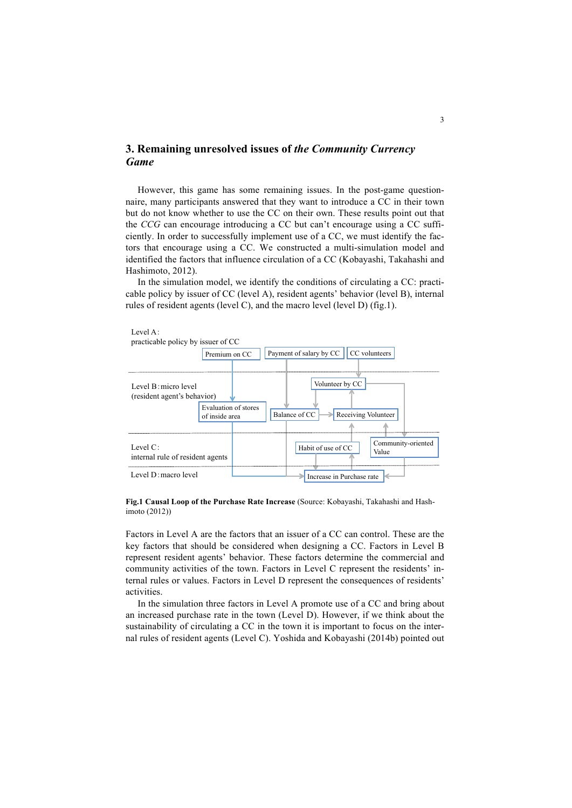## **3. Remaining unresolved issues of** *the Community Currency Game*

 However, this game has some remaining issues. In the post-game questionnaire, many participants answered that they want to introduce a CC in their town but do not know whether to use the CC on their own. These results point out that the *CCG* can encourage introducing a CC but can't encourage using a CC sufficiently. In order to successfully implement use of a CC, we must identify the factors that encourage using a CC. We constructed a multi-simulation model and identified the factors that influence circulation of a CC (Kobayashi, Takahashi and Hashimoto, 2012).

 In the simulation model, we identify the conditions of circulating a CC: practicable policy by issuer of CC (level A), resident agents' behavior (level B), internal rules of resident agents (level C), and the macro level (level D) (fig.1).



**Fig.1 Causal Loop of the Purchase Rate Increase** (Source: Kobayashi, Takahashi and Hashimoto (2012))

Factors in Level A are the factors that an issuer of a CC can control. These are the key factors that should be considered when designing a CC. Factors in Level B represent resident agents' behavior. These factors determine the commercial and community activities of the town. Factors in Level C represent the residents' internal rules or values. Factors in Level D represent the consequences of residents' activities.

 In the simulation three factors in Level A promote use of a CC and bring about an increased purchase rate in the town (Level D). However, if we think about the sustainability of circulating a CC in the town it is important to focus on the internal rules of resident agents (Level C). Yoshida and Kobayashi (2014b) pointed out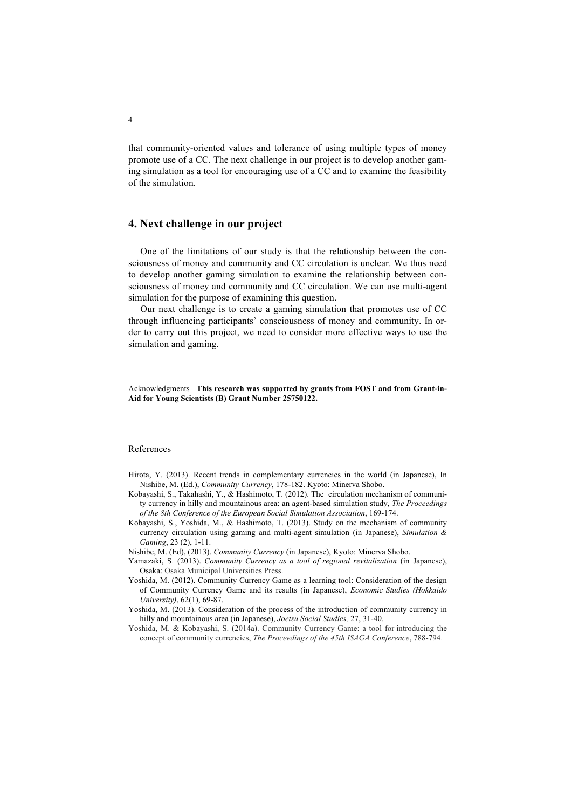that community-oriented values and tolerance of using multiple types of money promote use of a CC. The next challenge in our project is to develop another gaming simulation as a tool for encouraging use of a CC and to examine the feasibility of the simulation.

### **4. Next challenge in our project**

 One of the limitations of our study is that the relationship between the consciousness of money and community and CC circulation is unclear. We thus need to develop another gaming simulation to examine the relationship between consciousness of money and community and CC circulation. We can use multi-agent simulation for the purpose of examining this question.

 Our next challenge is to create a gaming simulation that promotes use of CC through influencing participants' consciousness of money and community. In order to carry out this project, we need to consider more effective ways to use the simulation and gaming.

Acknowledgments **This research was supported by grants from FOST and from Grant-in-Aid for Young Scientists (B) Grant Number 25750122.**

#### References

- Hirota, Y. (2013). Recent trends in complementary currencies in the world (in Japanese), In Nishibe, M. (Ed.), *Community Currency*, 178-182. Kyoto: Minerva Shobo.
- Kobayashi, S., Takahashi, Y., & Hashimoto, T. (2012). The circulation mechanism of community currency in hilly and mountainous area: an agent-based simulation study, *The Proceedings of the 8th Conference of the European Social Simulation Association*, 169-174.
- Kobayashi, S., Yoshida, M., & Hashimoto, T. (2013). Study on the mechanism of community currency circulation using gaming and multi-agent simulation (in Japanese), *Simulation & Gaming*, 23 (2), 1-11.

Nishibe, M. (Ed), (2013). *Community Currency* (in Japanese), Kyoto: Minerva Shobo.

- Yamazaki, S. (2013). *Community Currency as a tool of regional revitalization* (in Japanese), Osaka: Osaka Municipal Universities Press.
- Yoshida, M. (2012). Community Currency Game as a learning tool: Consideration of the design of Community Currency Game and its results (in Japanese), *Economic Studies (Hokkaido University)*, 62(1), 69-87.
- Yoshida, M. (2013). Consideration of the process of the introduction of community currency in hilly and mountainous area (in Japanese), *Joetsu Social Studies,* 27, 31-40.
- Yoshida, M. & Kobayashi, S. (2014a). Community Currency Game: a tool for introducing the concept of community currencies, *The Proceedings of the 45th ISAGA Conference*, 788-794.